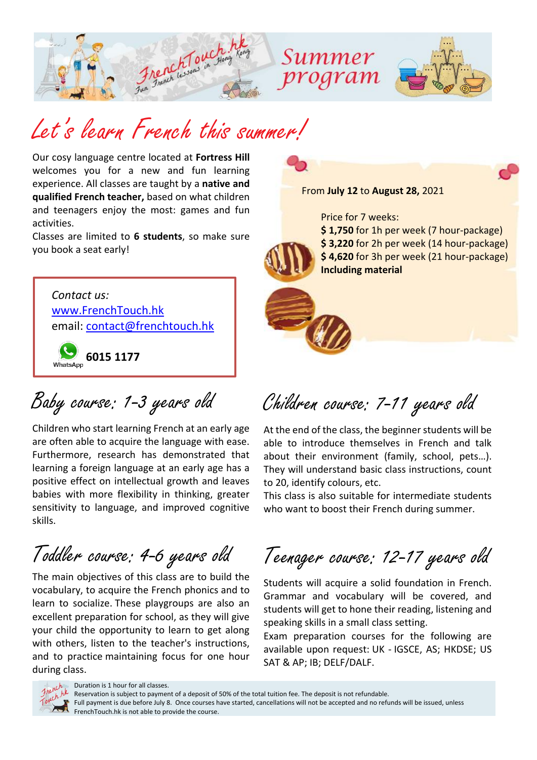

## Let's learn French this summer!

Our cosy language centre located at **Fortress Hill** welcomes you for a new and fun learning experience. All classes are taught by a **native and qualified French teacher,** based on what children and teenagers enjoy the most: games and fun activities.

Classes are limited to **6 students**, so make sure you book a seat early!

*[Contact](http://www.frenchtouch.hk/) us:* [www.FrenchTouch.hk](http://www.frenchtouch.hk/) email: [contact@frenchtouch.hk](mailto:contact@frenchtouch.hk)

**6015 1177**

Baby course: 1-3 years old

Children who start learning French at an early age are often able to acquire the language with ease. Furthermore, research has demonstrated that learning a foreign language at an early age has a positive effect on intellectual growth and leaves babies with more flexibility in thinking, greater sensitivity to language, and improved cognitive skills.

Toddler course: 4-6 years old

The main objectives of this class are to build the vocabulary, to acquire the French phonics and to learn to socialize. These playgroups are also an excellent preparation for school, as they will give your child the opportunity to learn to get along with others, listen to the teacher's instructions, and to practice maintaining focus for one hour during class.



Children course: 7-11 years old

At the end of the class, the beginner students will be able to introduce themselves in French and talk about their environment (family, school, pets…). They will understand basic class instructions, count to 20, identify colours, etc.

This class is also suitable for intermediate students who want to boost their French during summer.

Teenager course: 12-17 years old

Students will acquire a solid foundation in French. Grammar and vocabulary will be covered, and students will get to hone their reading, listening and speaking skills in a small class setting.

Exam preparation courses for the following are available upon request: UK - IGSCE, AS; HKDSE; US SAT & AP; IB; DELF/DALF.



Duration is 1 hour for all classes.

Reservation is subject to payment of a deposit of 50% of the total tuition fee. The deposit is not refundable. Full payment is due before July 8. Once courses have started, cancellations will not be accepted and no refunds will be issued, unless FrenchTouch.hk is not able to provide the course.